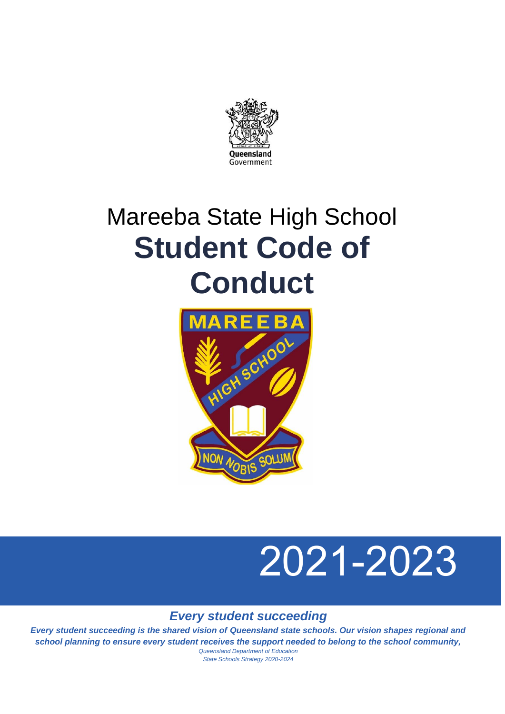

## Mareeba State High School **Student Code of Conduct**



# 2021-2023

*Every student succeeding*

*Every student succeeding is the shared vision of Queensland state schools. Our vision shapes regional and school planning to ensure every student receives the support needed to belong to the school community,* 

*Queensland Department of Education State Schools Strategy 2020-2024*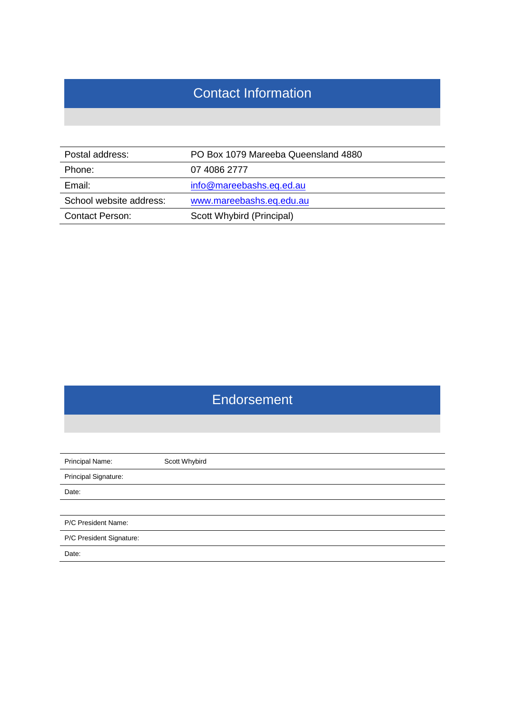## Contact Information

| Postal address:         | PO Box 1079 Mareeba Queensland 4880 |
|-------------------------|-------------------------------------|
| Phone:                  | 07 4086 2777                        |
| Email:                  | info@mareebashs.eq.ed.au            |
| School website address: | www.mareebashs.eq.edu.au            |
| <b>Contact Person:</b>  | Scott Whybird (Principal)           |

## Endorsement

| Principal Name:          | Scott Whybird |  |  |  |
|--------------------------|---------------|--|--|--|
| Principal Signature:     |               |  |  |  |
| Date:                    |               |  |  |  |
|                          |               |  |  |  |
| P/C President Name:      |               |  |  |  |
| P/C President Signature: |               |  |  |  |
| Date:                    |               |  |  |  |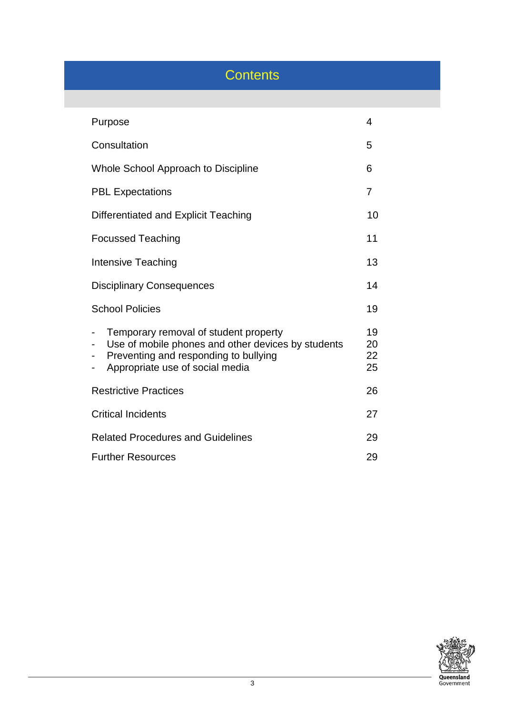## **Contents**

| Purpose                                                                                                                                                                 |                      |
|-------------------------------------------------------------------------------------------------------------------------------------------------------------------------|----------------------|
| Consultation                                                                                                                                                            | 5                    |
| Whole School Approach to Discipline                                                                                                                                     | 6                    |
| <b>PBL Expectations</b>                                                                                                                                                 | 7                    |
| Differentiated and Explicit Teaching                                                                                                                                    | 10                   |
| <b>Focussed Teaching</b>                                                                                                                                                | 11                   |
| <b>Intensive Teaching</b>                                                                                                                                               |                      |
| <b>Disciplinary Consequences</b>                                                                                                                                        |                      |
| <b>School Policies</b>                                                                                                                                                  | 19                   |
| Temporary removal of student property<br>Use of mobile phones and other devices by students<br>Preventing and responding to bullying<br>Appropriate use of social media | 19<br>20<br>22<br>25 |
| <b>Restrictive Practices</b>                                                                                                                                            |                      |
| <b>Critical Incidents</b><br>27                                                                                                                                         |                      |
| <b>Related Procedures and Guidelines</b><br>29                                                                                                                          |                      |
| <b>Further Resources</b>                                                                                                                                                |                      |

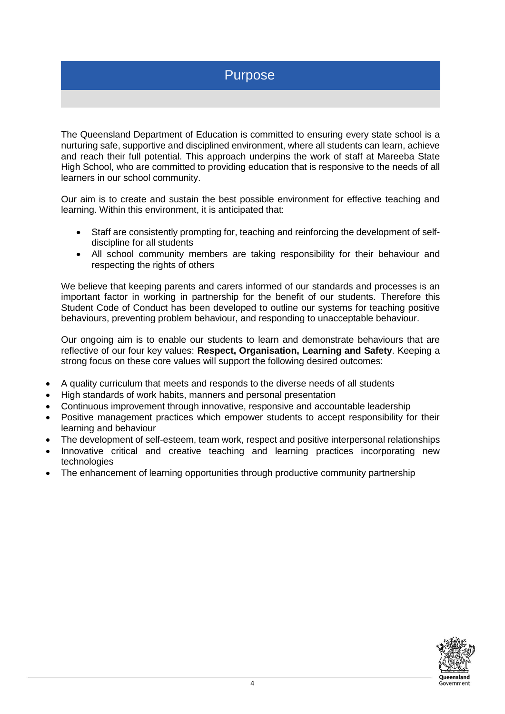## Purpose

The Queensland Department of Education is committed to ensuring every state school is a nurturing safe, supportive and disciplined environment, where all students can learn, achieve and reach their full potential. This approach underpins the work of staff at Mareeba State High School, who are committed to providing education that is responsive to the needs of all learners in our school community.

Our aim is to create and sustain the best possible environment for effective teaching and learning. Within this environment, it is anticipated that:

- Staff are consistently prompting for, teaching and reinforcing the development of selfdiscipline for all students
- All school community members are taking responsibility for their behaviour and respecting the rights of others

We believe that keeping parents and carers informed of our standards and processes is an important factor in working in partnership for the benefit of our students. Therefore this Student Code of Conduct has been developed to outline our systems for teaching positive behaviours, preventing problem behaviour, and responding to unacceptable behaviour.

Our ongoing aim is to enable our students to learn and demonstrate behaviours that are reflective of our four key values: **Respect, Organisation, Learning and Safety**. Keeping a strong focus on these core values will support the following desired outcomes:

- A quality curriculum that meets and responds to the diverse needs of all students
- High standards of work habits, manners and personal presentation
- Continuous improvement through innovative, responsive and accountable leadership
- Positive management practices which empower students to accept responsibility for their learning and behaviour
- The development of self-esteem, team work, respect and positive interpersonal relationships
- Innovative critical and creative teaching and learning practices incorporating new technologies
- The enhancement of learning opportunities through productive community partnership

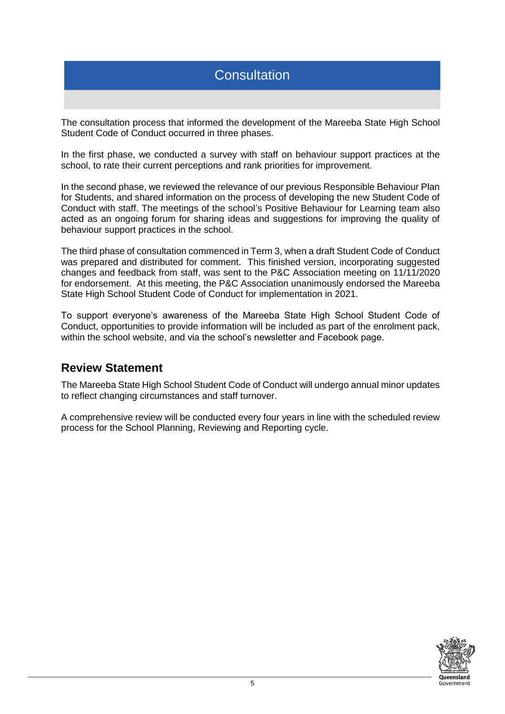## **Consultation**

The consultation process that informed the development of the Mareeba State High School Student Code of Conduct occurred in three phases.

In the first phase, we conducted a survey with staff on behaviour support practices at the school, to rate their current perceptions and rank priorities for improvement.

In the second phase, we reviewed the relevance of our previous Responsible Behaviour Plan for Students, and shared information on the process of developing the new Student Code of Conduct with staff. The meetings of the school's Positive Behaviour for Learning team also acted as an ongoing forum for sharing ideas and suggestions for improving the quality of behaviour support practices in the school.

The third phase of consultation commenced in Term 3, when a draft Student Code of Conduct was prepared and distributed for comment. This finished version, incorporating suggested changes and feedback from staff, was sent to the P&C Association meeting on 11/11/2020 for endorsement. At this meeting, the P&C Association unanimously endorsed the Mareeba State High School Student Code of Conduct for implementation in 2021.

To support everyone's awareness of the Mareeba State High School Student Code of Conduct, opportunities to provide information will be included as part of the enrolment pack, within the school website, and via the school's newsletter and Facebook page.

## **Review Statement**

The Mareeba State High School Student Code of Conduct will undergo annual minor updates to reflect changing circumstances and staff turnover.

A comprehensive review will be conducted every four years in line with the scheduled review process for the School Planning, Reviewing and Reporting cycle.

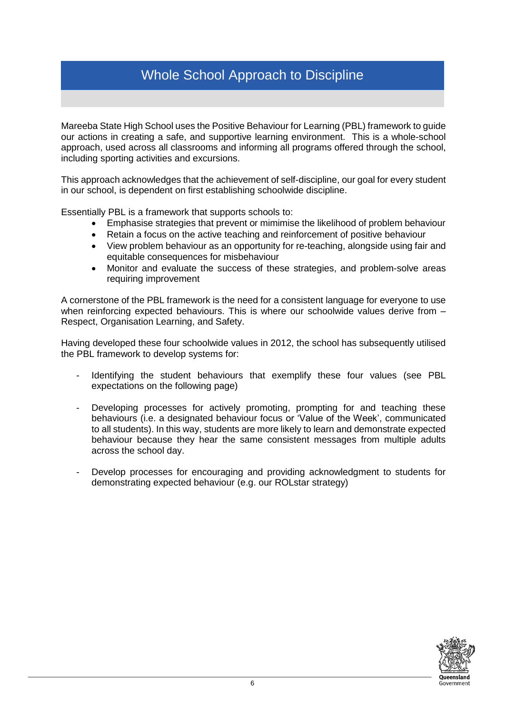## Whole School Approach to Discipline

Mareeba State High School uses the Positive Behaviour for Learning (PBL) framework to guide our actions in creating a safe, and supportive learning environment. This is a whole-school approach, used across all classrooms and informing all programs offered through the school, including sporting activities and excursions.

This approach acknowledges that the achievement of self-discipline, our goal for every student in our school, is dependent on first establishing schoolwide discipline.

Essentially PBL is a framework that supports schools to:

- Emphasise strategies that prevent or mimimise the likelihood of problem behaviour
- Retain a focus on the active teaching and reinforcement of positive behaviour
- View problem behaviour as an opportunity for re-teaching, alongside using fair and equitable consequences for misbehaviour
- Monitor and evaluate the success of these strategies, and problem-solve areas requiring improvement

A cornerstone of the PBL framework is the need for a consistent language for everyone to use when reinforcing expected behaviours. This is where our schoolwide values derive from -Respect, Organisation Learning, and Safety.

Having developed these four schoolwide values in 2012, the school has subsequently utilised the PBL framework to develop systems for:

- Identifying the student behaviours that exemplify these four values (see PBL expectations on the following page)
- Developing processes for actively promoting, prompting for and teaching these behaviours (i.e. a designated behaviour focus or 'Value of the Week', communicated to all students). In this way, students are more likely to learn and demonstrate expected behaviour because they hear the same consistent messages from multiple adults across the school day.
- Develop processes for encouraging and providing acknowledgment to students for demonstrating expected behaviour (e.g. our ROLstar strategy)

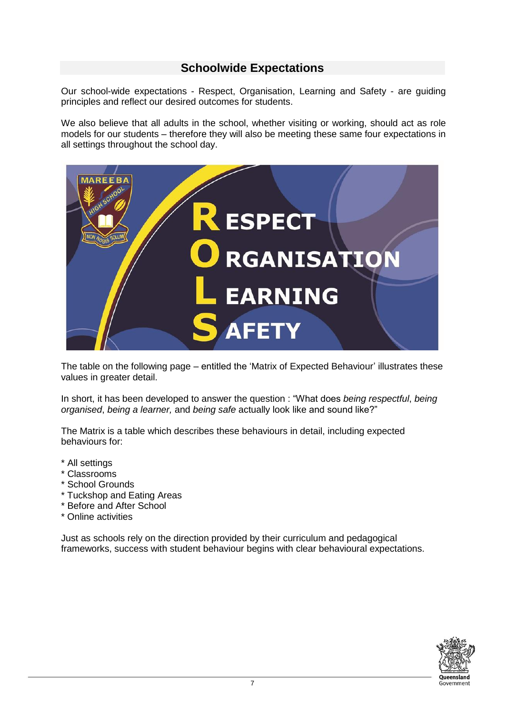## **Schoolwide Expectations**

Our school-wide expectations - Respect, Organisation, Learning and Safety - are guiding principles and reflect our desired outcomes for students.

We also believe that all adults in the school, whether visiting or working, should act as role models for our students – therefore they will also be meeting these same four expectations in all settings throughout the school day.



The table on the following page – entitled the 'Matrix of Expected Behaviour' illustrates these values in greater detail.

In short, it has been developed to answer the question : "What does *being respectful*, *being organised*, *being a learner,* and *being safe* actually look like and sound like?"

The Matrix is a table which describes these behaviours in detail, including expected behaviours for:

- \* All settings
- \* Classrooms
- \* School Grounds
- \* Tuckshop and Eating Areas
- \* Before and After School
- \* Online activities

Just as schools rely on the direction provided by their curriculum and pedagogical frameworks, success with student behaviour begins with clear behavioural expectations.

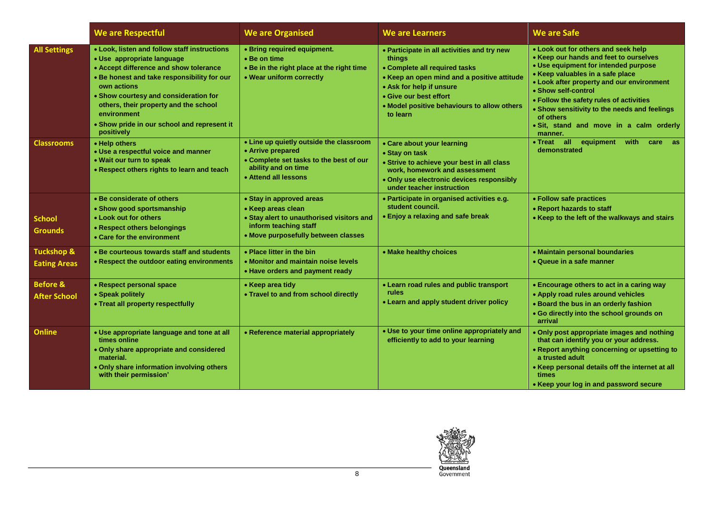|                                              | We are Respectful                                                                                                                                                                                                                                                                                                                                | <b>We are Organised</b>                                                                                                                                     | <b>We are Learners</b>                                                                                                                                                                                                                                 | <b>We are Safe</b>                                                                                                                                                                                                                                                                                                                                                                          |
|----------------------------------------------|--------------------------------------------------------------------------------------------------------------------------------------------------------------------------------------------------------------------------------------------------------------------------------------------------------------------------------------------------|-------------------------------------------------------------------------------------------------------------------------------------------------------------|--------------------------------------------------------------------------------------------------------------------------------------------------------------------------------------------------------------------------------------------------------|---------------------------------------------------------------------------------------------------------------------------------------------------------------------------------------------------------------------------------------------------------------------------------------------------------------------------------------------------------------------------------------------|
| <b>All Settings</b>                          | • Look, listen and follow staff instructions<br>• Use appropriate language<br>• Accept difference and show tolerance<br>. Be honest and take responsibility for our<br>own actions<br>• Show courtesy and consideration for<br>others, their property and the school<br>environment<br>• Show pride in our school and represent it<br>positively | • Bring required equipment.<br>• Be on time<br>. Be in the right place at the right time<br>• Wear uniform correctly                                        | • Participate in all activities and try new<br>things<br>• Complete all required tasks<br>• Keep an open mind and a positive attitude<br>• Ask for help if unsure<br>• Give our best effort<br>• Model positive behaviours to allow others<br>to learn | • Look out for others and seek help<br>• Keep our hands and feet to ourselves<br>• Use equipment for intended purpose<br>• Keep valuables in a safe place<br>• Look after property and our environment<br>• Show self-control<br>• Follow the safety rules of activities<br>• Show sensitivity to the needs and feelings<br>of others<br>· Sit, stand and move in a calm orderly<br>manner. |
| <b>Classrooms</b>                            | • Help others<br>• Use a respectful voice and manner<br>. Wait our turn to speak<br>• Respect others rights to learn and teach                                                                                                                                                                                                                   | • Line up quietly outside the classroom<br>• Arrive prepared<br>• Complete set tasks to the best of our<br>ability and on time<br>• Attend all lessons      | • Care about your learning<br>• Stay on task<br>• Strive to achieve your best in all class<br>work, homework and assessment<br>. Only use electronic devices responsibly<br>under teacher instruction                                                  | • Treat all equipment<br>with<br>care<br>as:<br>demonstrated                                                                                                                                                                                                                                                                                                                                |
| <b>School</b><br><b>Grounds</b>              | • Be considerate of others<br>• Show good sportsmanship<br>• Look out for others<br>• Respect others belongings<br>• Care for the environment                                                                                                                                                                                                    | • Stay in approved areas<br>• Keep areas clean<br>• Stay alert to unauthorised visitors and<br>inform teaching staff<br>• Move purposefully between classes | · Participate in organised activities e.g.<br>student council.<br>• Enjoy a relaxing and safe break                                                                                                                                                    | • Follow safe practices<br>• Report hazards to staff<br>• Keep to the left of the walkways and stairs                                                                                                                                                                                                                                                                                       |
| <b>Tuckshop &amp;</b><br><b>Eating Areas</b> | • Be courteous towards staff and students<br>• Respect the outdoor eating environments                                                                                                                                                                                                                                                           | • Place litter in the bin<br>• Monitor and maintain noise levels<br>• Have orders and payment ready                                                         | • Make healthy choices                                                                                                                                                                                                                                 | • Maintain personal boundaries<br>• Queue in a safe manner                                                                                                                                                                                                                                                                                                                                  |
| <b>Before &amp;</b><br><b>After School</b>   | • Respect personal space<br>• Speak politely<br>• Treat all property respectfully                                                                                                                                                                                                                                                                | • Keep area tidy<br>• Travel to and from school directly                                                                                                    | • Learn road rules and public transport<br>rules<br>• Learn and apply student driver policy                                                                                                                                                            | • Encourage others to act in a caring way<br>• Apply road rules around vehicles<br>• Board the bus in an orderly fashion<br>. Go directly into the school grounds on<br>arrival                                                                                                                                                                                                             |
| <b>Online</b>                                | • Use appropriate language and tone at all<br>times online<br>. Only share appropriate and considered<br>material.<br>. Only share information involving others<br>with their permission'                                                                                                                                                        | • Reference material appropriately                                                                                                                          | • Use to your time online appropriately and<br>efficiently to add to your learning                                                                                                                                                                     | • Only post appropriate images and nothing<br>that can identify you or your address.<br>• Report anything concerning or upsetting to<br>a trusted adult<br>• Keep personal details off the internet at all<br>times<br>• Keep your log in and password secure                                                                                                                               |

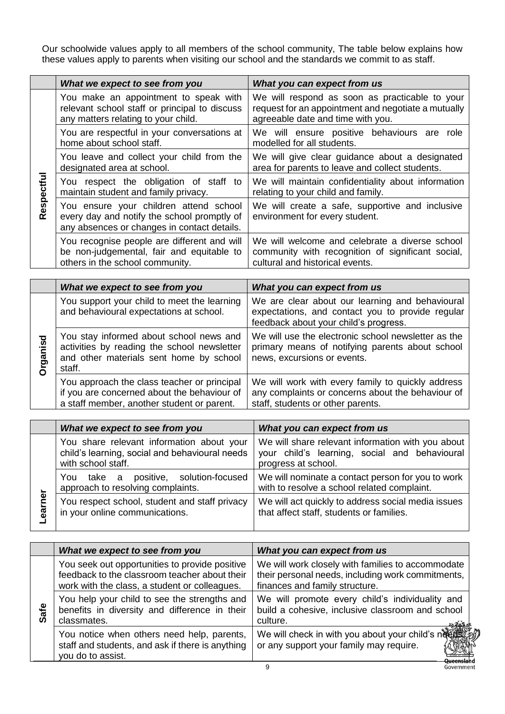Our schoolwide values apply to all members of the school community, The table below explains how these values apply to parents when visiting our school and the standards we commit to as staff.

|          | What we expect to see from you                                                                                                       | What you can expect from us                                                                                                                |
|----------|--------------------------------------------------------------------------------------------------------------------------------------|--------------------------------------------------------------------------------------------------------------------------------------------|
|          | You make an appointment to speak with<br>relevant school staff or principal to discuss<br>any matters relating to your child.        | We will respond as soon as practicable to your<br>request for an appointment and negotiate a mutually<br>agreeable date and time with you. |
|          | You are respectful in your conversations at<br>home about school staff.                                                              | We will ensure positive behaviours are<br>role<br>modelled for all students.                                                               |
|          | You leave and collect your child from the<br>designated area at school.                                                              | We will give clear guidance about a designated<br>area for parents to leave and collect students.                                          |
| espectfu | You respect the obligation of staff to<br>maintain student and family privacy.                                                       | We will maintain confidentiality about information<br>relating to your child and family.                                                   |
| Ř        | You ensure your children attend school<br>every day and notify the school promptly of<br>any absences or changes in contact details. | We will create a safe, supportive and inclusive<br>environment for every student.                                                          |
|          | You recognise people are different and will<br>be non-judgemental, fair and equitable to<br>others in the school community.          | We will welcome and celebrate a diverse school<br>community with recognition of significant social,<br>cultural and historical events.     |

|          | What we expect to see from you                                                                                                              | What you can expect from us                                                                                                                  |
|----------|---------------------------------------------------------------------------------------------------------------------------------------------|----------------------------------------------------------------------------------------------------------------------------------------------|
|          | You support your child to meet the learning<br>and behavioural expectations at school.                                                      | We are clear about our learning and behavioural<br>expectations, and contact you to provide regular<br>feedback about your child's progress. |
| Drganisd | You stay informed about school news and<br>activities by reading the school newsletter<br>and other materials sent home by school<br>staff. | We will use the electronic school newsletter as the<br>primary means of notifying parents about school<br>news, excursions or events.        |
|          | You approach the class teacher or principal<br>if you are concerned about the behaviour of<br>a staff member, another student or parent.    | We will work with every family to quickly address<br>any complaints or concerns about the behaviour of<br>staff, students or other parents.  |

|            | What we expect to see from you                                                                                    | What you can expect from us                                                                                               |
|------------|-------------------------------------------------------------------------------------------------------------------|---------------------------------------------------------------------------------------------------------------------------|
|            | You share relevant information about your<br>child's learning, social and behavioural needs<br>with school staff. | We will share relevant information with you about<br>your child's learning, social and behavioural<br>progress at school. |
|            | take a positive, solution-focused<br>You<br>approach to resolving complaints.                                     | We will nominate a contact person for you to work<br>with to resolve a school related complaint.                          |
| rner<br>ea | You respect school, student and staff privacy<br>in your online communications.                                   | We will act quickly to address social media issues<br>that affect staff, students or families.                            |

|      | What we expect to see from you                                                                                                                   | What you can expect from us                                                                                                              |
|------|--------------------------------------------------------------------------------------------------------------------------------------------------|------------------------------------------------------------------------------------------------------------------------------------------|
|      | You seek out opportunities to provide positive<br>feedback to the classroom teacher about their<br>work with the class, a student or colleagues. | We will work closely with families to accommodate<br>their personal needs, including work commitments,<br>finances and family structure. |
| Safe | You help your child to see the strengths and<br>benefits in diversity and difference in their<br>classmates.                                     | We will promote every child's individuality and<br>build a cohesive, inclusive classroom and school<br>culture.                          |
|      | You notice when others need help, parents,<br>staff and students, and ask if there is anything<br>you do to assist.                              | We will check in with you about your child's needs in<br>or any support your family may require.                                         |
|      |                                                                                                                                                  | 9                                                                                                                                        |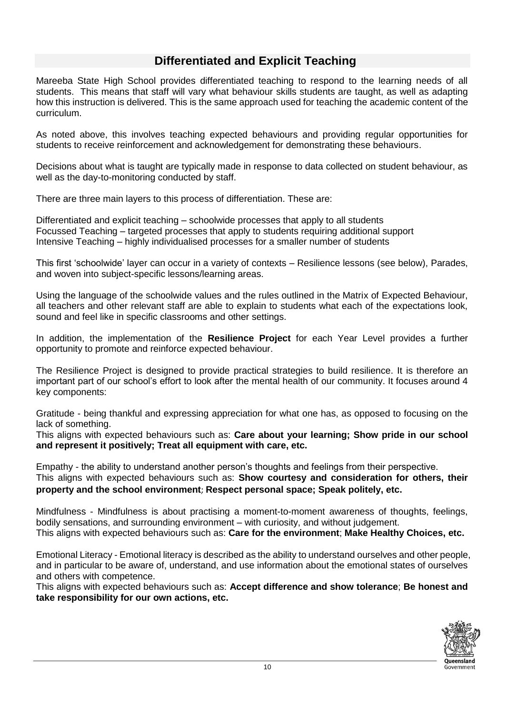## **Differentiated and Explicit Teaching**

Mareeba State High School provides differentiated teaching to respond to the learning needs of all students. This means that staff will vary what behaviour skills students are taught, as well as adapting how this instruction is delivered. This is the same approach used for teaching the academic content of the curriculum.

As noted above, this involves teaching expected behaviours and providing regular opportunities for students to receive reinforcement and acknowledgement for demonstrating these behaviours.

Decisions about what is taught are typically made in response to data collected on student behaviour, as well as the day-to-monitoring conducted by staff.

There are three main layers to this process of differentiation. These are:

Differentiated and explicit teaching – schoolwide processes that apply to all students Focussed Teaching – targeted processes that apply to students requiring additional support Intensive Teaching – highly individualised processes for a smaller number of students

This first 'schoolwide' layer can occur in a variety of contexts – Resilience lessons (see below), Parades, and woven into subject-specific lessons/learning areas.

Using the language of the schoolwide values and the rules outlined in the Matrix of Expected Behaviour, all teachers and other relevant staff are able to explain to students what each of the expectations look, sound and feel like in specific classrooms and other settings.

In addition, the implementation of the **Resilience Project** for each Year Level provides a further opportunity to promote and reinforce expected behaviour.

The Resilience Project is designed to provide practical strategies to build resilience. It is therefore an important part of our school's effort to look after the mental health of our community. It focuses around 4 key components:

Gratitude - being thankful and expressing appreciation for what one has, as opposed to focusing on the lack of something.

This aligns with expected behaviours such as: **Care about your learning; Show pride in our school and represent it positively; Treat all equipment with care, etc.**

Empathy - the ability to understand another person's thoughts and feelings from their perspective. This aligns with expected behaviours such as: **Show courtesy and consideration for others, their property and the school environment**; **Respect personal space; Speak politely, etc.**

Mindfulness - Mindfulness is about practising a moment-to-moment awareness of thoughts, feelings, bodily sensations, and surrounding environment – with curiosity, and without judgement. This aligns with expected behaviours such as: **Care for the environment**; **Make Healthy Choices, etc.**

Emotional Literacy - Emotional literacy is described as the ability to understand ourselves and other people, and in particular to be aware of, understand, and use information about the emotional states of ourselves and others with competence.

This aligns with expected behaviours such as: **Accept difference and show tolerance**; **Be honest and take responsibility for our own actions, etc.**

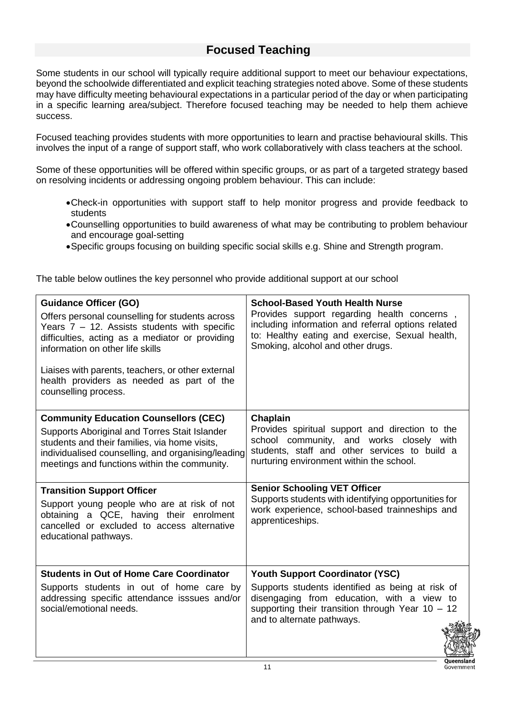## **Focused Teaching**

Some students in our school will typically require additional support to meet our behaviour expectations, beyond the schoolwide differentiated and explicit teaching strategies noted above. Some of these students may have difficulty meeting behavioural expectations in a particular period of the day or when participating in a specific learning area/subject. Therefore focused teaching may be needed to help them achieve success.

Focused teaching provides students with more opportunities to learn and practise behavioural skills. This involves the input of a range of support staff, who work collaboratively with class teachers at the school.

Some of these opportunities will be offered within specific groups, or as part of a targeted strategy based on resolving incidents or addressing ongoing problem behaviour. This can include:

- •Check-in opportunities with support staff to help monitor progress and provide feedback to students
- •Counselling opportunities to build awareness of what may be contributing to problem behaviour and encourage goal-setting
- •Specific groups focusing on building specific social skills e.g. Shine and Strength program.

The table below outlines the key personnel who provide additional support at our school

| <b>Guidance Officer (GO)</b><br>Offers personal counselling for students across<br>Years $7 - 12$ . Assists students with specific<br>difficulties, acting as a mediator or providing<br>information on other life skills<br>Liaises with parents, teachers, or other external<br>health providers as needed as part of the<br>counselling process. | <b>School-Based Youth Health Nurse</b><br>Provides support regarding health concerns,<br>including information and referral options related<br>to: Healthy eating and exercise, Sexual health,<br>Smoking, alcohol and other drugs. |
|-----------------------------------------------------------------------------------------------------------------------------------------------------------------------------------------------------------------------------------------------------------------------------------------------------------------------------------------------------|-------------------------------------------------------------------------------------------------------------------------------------------------------------------------------------------------------------------------------------|
| <b>Community Education Counsellors (CEC)</b><br>Supports Aboriginal and Torres Stait Islander<br>students and their families, via home visits,<br>individualised counselling, and organising/leading<br>meetings and functions within the community.                                                                                                | Chaplain<br>Provides spiritual support and direction to the<br>school community, and works closely with<br>students, staff and other services to build a<br>nurturing environment within the school.                                |
| <b>Transition Support Officer</b><br>Support young people who are at risk of not<br>obtaining a QCE, having their enrolment<br>cancelled or excluded to access alternative<br>educational pathways.                                                                                                                                                 | <b>Senior Schooling VET Officer</b><br>Supports students with identifying opportunities for<br>work experience, school-based trainneships and<br>apprenticeships.                                                                   |
| <b>Students in Out of Home Care Coordinator</b><br>Supports students in out of home care by<br>addressing specific attendance isssues and/or<br>social/emotional needs.                                                                                                                                                                             | <b>Youth Support Coordinator (YSC)</b><br>Supports students identified as being at risk of<br>disengaging from education, with a view to<br>supporting their transition through Year $10 - 12$<br>and to alternate pathways.        |

11

Queensland Government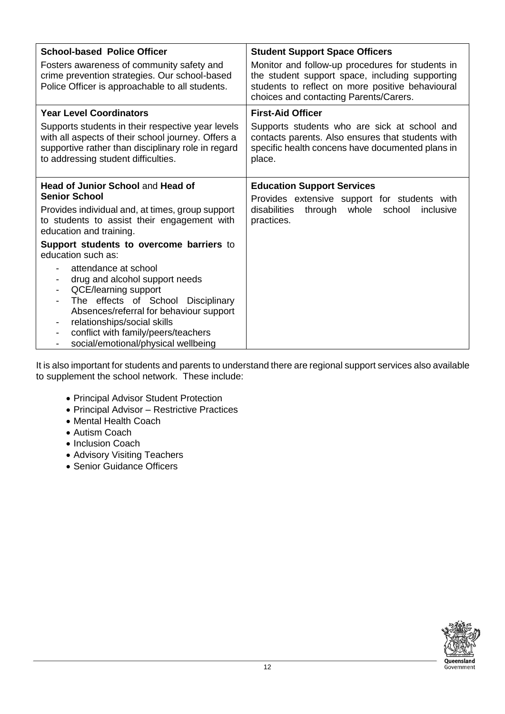| <b>School-based Police Officer</b>                                                                                                                                                                                                                                                                                                   | <b>Student Support Space Officers</b>                                                                                                                                                             |
|--------------------------------------------------------------------------------------------------------------------------------------------------------------------------------------------------------------------------------------------------------------------------------------------------------------------------------------|---------------------------------------------------------------------------------------------------------------------------------------------------------------------------------------------------|
| Fosters awareness of community safety and<br>crime prevention strategies. Our school-based<br>Police Officer is approachable to all students.                                                                                                                                                                                        | Monitor and follow-up procedures for students in<br>the student support space, including supporting<br>students to reflect on more positive behavioural<br>choices and contacting Parents/Carers. |
| <b>Year Level Coordinators</b>                                                                                                                                                                                                                                                                                                       | <b>First-Aid Officer</b>                                                                                                                                                                          |
| Supports students in their respective year levels<br>with all aspects of their school journey. Offers a<br>supportive rather than disciplinary role in regard<br>to addressing student difficulties.                                                                                                                                 | Supports students who are sick at school and<br>contacts parents. Also ensures that students with<br>specific health concens have documented plans in<br>place.                                   |
| <b>Head of Junior School and Head of</b>                                                                                                                                                                                                                                                                                             | <b>Education Support Services</b>                                                                                                                                                                 |
| <b>Senior School</b>                                                                                                                                                                                                                                                                                                                 | Provides extensive support for students with                                                                                                                                                      |
| Provides individual and, at times, group support<br>to students to assist their engagement with<br>education and training.                                                                                                                                                                                                           | disabilities<br>through whole<br>school<br>inclusive<br>practices.                                                                                                                                |
| Support students to overcome barriers to<br>education such as:                                                                                                                                                                                                                                                                       |                                                                                                                                                                                                   |
| attendance at school<br>drug and alcohol support needs<br>$\overline{\phantom{a}}$<br>QCE/learning support<br>The effects of School Disciplinary<br>Absences/referral for behaviour support<br>relationships/social skills<br>conflict with family/peers/teachers<br>$\overline{\phantom{a}}$<br>social/emotional/physical wellbeing |                                                                                                                                                                                                   |

It is also important for students and parents to understand there are regional support services also available to supplement the school network. These include:

- Principal Advisor Student Protection
- Principal Advisor Restrictive Practices
- Mental Health Coach
- Autism Coach
- Inclusion Coach
- Advisory Visiting Teachers
- Senior Guidance Officers

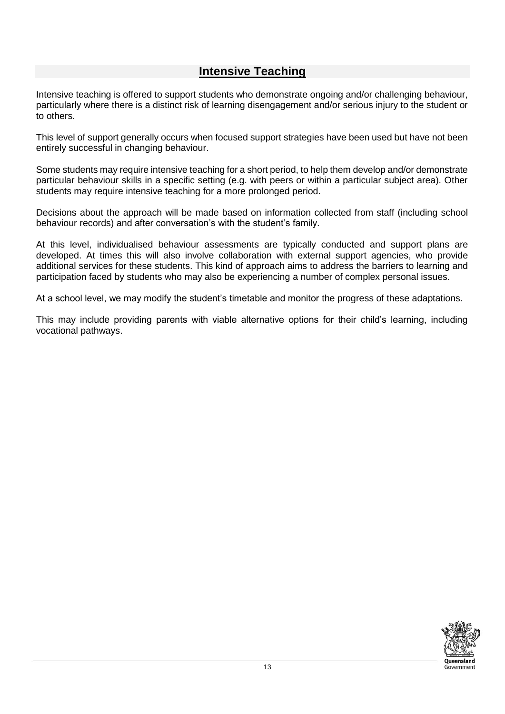## **Intensive Teaching**

Intensive teaching is offered to support students who demonstrate ongoing and/or challenging behaviour, particularly where there is a distinct risk of learning disengagement and/or serious injury to the student or to others.

This level of support generally occurs when focused support strategies have been used but have not been entirely successful in changing behaviour.

Some students may require intensive teaching for a short period, to help them develop and/or demonstrate particular behaviour skills in a specific setting (e.g. with peers or within a particular subject area). Other students may require intensive teaching for a more prolonged period.

Decisions about the approach will be made based on information collected from staff (including school behaviour records) and after conversation's with the student's family.

At this level, individualised behaviour assessments are typically conducted and support plans are developed. At times this will also involve collaboration with external support agencies, who provide additional services for these students. This kind of approach aims to address the barriers to learning and participation faced by students who may also be experiencing a number of complex personal issues.

At a school level, we may modify the student's timetable and monitor the progress of these adaptations.

This may include providing parents with viable alternative options for their child's learning, including vocational pathways.

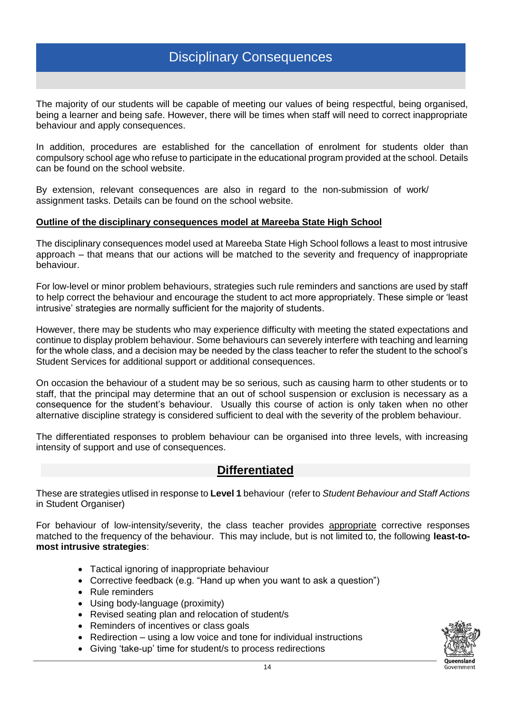## Disciplinary Consequences

The majority of our students will be capable of meeting our values of being respectful, being organised, being a learner and being safe. However, there will be times when staff will need to correct inappropriate behaviour and apply consequences.

In addition, procedures are established for the cancellation of enrolment for students older than compulsory school age who refuse to participate in the educational program provided at the school. Details can be found on the school website.

By extension, relevant consequences are also in regard to the non-submission of work/ assignment tasks. Details can be found on the school website.

#### **Outline of the disciplinary consequences model at Mareeba State High School**

The disciplinary consequences model used at Mareeba State High School follows a least to most intrusive approach – that means that our actions will be matched to the severity and frequency of inappropriate behaviour.

For low-level or minor problem behaviours, strategies such rule reminders and sanctions are used by staff to help correct the behaviour and encourage the student to act more appropriately. These simple or 'least intrusive' strategies are normally sufficient for the majority of students.

However, there may be students who may experience difficulty with meeting the stated expectations and continue to display problem behaviour. Some behaviours can severely interfere with teaching and learning for the whole class, and a decision may be needed by the class teacher to refer the student to the school's Student Services for additional support or additional consequences.

On occasion the behaviour of a student may be so serious, such as causing harm to other students or to staff, that the principal may determine that an out of school suspension or exclusion is necessary as a consequence for the student's behaviour. Usually this course of action is only taken when no other alternative discipline strategy is considered sufficient to deal with the severity of the problem behaviour.

The differentiated responses to problem behaviour can be organised into three levels, with increasing intensity of support and use of consequences.

#### **Differentiated**

These are strategies utlised in response to **Level 1** behaviour (refer to *Student Behaviour and Staff Actions* in Student Organiser)

For behaviour of low-intensity/severity, the class teacher provides appropriate corrective responses matched to the frequency of the behaviour. This may include, but is not limited to, the following **least-tomost intrusive strategies**:

- Tactical ignoring of inappropriate behaviour
- Corrective feedback (e.g. "Hand up when you want to ask a question")
- Rule reminders
- Using body-language (proximity)
- Revised seating plan and relocation of student/s
- Reminders of incentives or class goals
- Redirection using a low voice and tone for individual instructions
- Giving 'take-up' time for student/s to process redirections

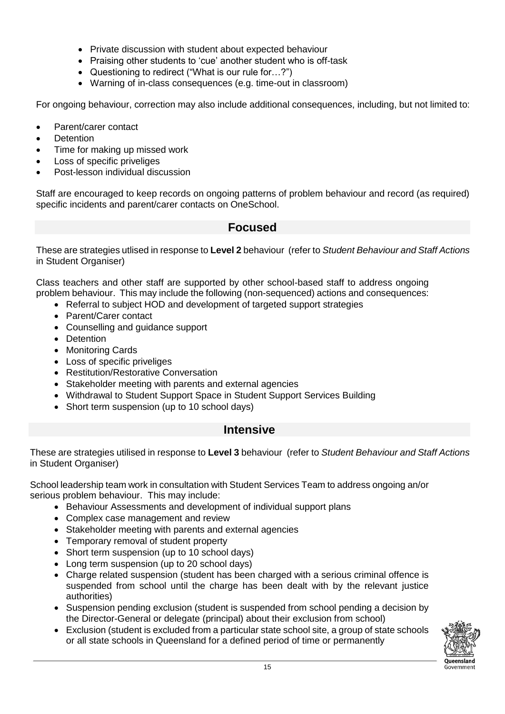- Private discussion with student about expected behaviour
- Praising other students to 'cue' another student who is off-task
- Questioning to redirect ("What is our rule for…?")
- Warning of in-class consequences (e.g. time-out in classroom)

For ongoing behaviour, correction may also include additional consequences, including, but not limited to:

- Parent/carer contact
- Detention
- Time for making up missed work
- Loss of specific priveliges
- Post-lesson individual discussion

Staff are encouraged to keep records on ongoing patterns of problem behaviour and record (as required) specific incidents and parent/carer contacts on OneSchool.

#### **Focused**

These are strategies utlised in response to **Level 2** behaviour (refer to *Student Behaviour and Staff Actions* in Student Organiser)

Class teachers and other staff are supported by other school-based staff to address ongoing problem behaviour. This may include the following (non-sequenced) actions and consequences:

- Referral to subject HOD and development of targeted support strategies
- Parent/Carer contact
- Counselling and guidance support
- Detention
- Monitoring Cards
- Loss of specific priveliges
- Restitution/Restorative Conversation
- Stakeholder meeting with parents and external agencies
- Withdrawal to Student Support Space in Student Support Services Building
- Short term suspension (up to 10 school days)

#### **Intensive**

These are strategies utilised in response to **Level 3** behaviour (refer to *Student Behaviour and Staff Actions* in Student Organiser)

School leadership team work in consultation with Student Services Team to address ongoing an/or serious problem behaviour. This may include:

- Behaviour Assessments and development of individual support plans
- Complex case management and review
- Stakeholder meeting with parents and external agencies
- Temporary removal of student property
- Short term suspension (up to 10 school days)
- Long term suspension (up to 20 school days)
- Charge related suspension (student has been charged with a serious criminal offence is suspended from school until the charge has been dealt with by the relevant justice authorities)
- Suspension pending exclusion (student is suspended from school pending a decision by the Director-General or delegate (principal) about their exclusion from school)
- Exclusion (student is excluded from a particular state school site, a group of state schools or all state schools in Queensland for a defined period of time or permanently

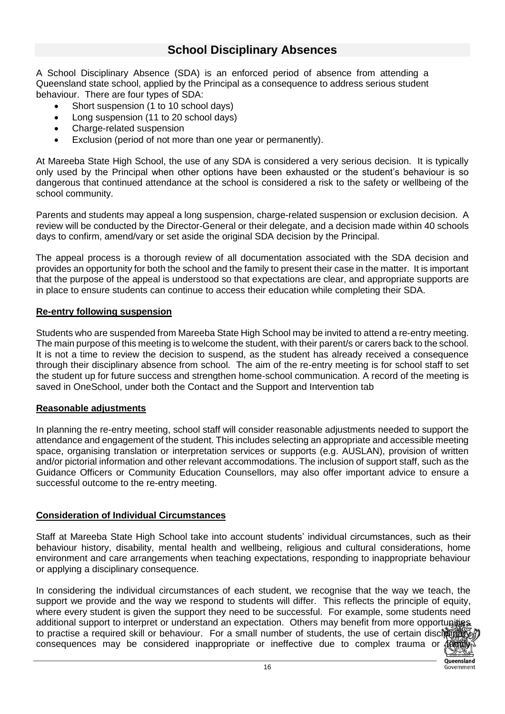## **School Disciplinary Absences**

A School Disciplinary Absence (SDA) is an enforced period of absence from attending a Queensland state school, applied by the Principal as a consequence to address serious student behaviour. There are four types of SDA:

- Short suspension (1 to 10 school days)
- Long suspension (11 to 20 school days)
- Charge-related suspension
- Exclusion (period of not more than one year or permanently).

At Mareeba State High School, the use of any SDA is considered a very serious decision. It is typically only used by the Principal when other options have been exhausted or the student's behaviour is so dangerous that continued attendance at the school is considered a risk to the safety or wellbeing of the school community.

Parents and students may appeal a long suspension, charge-related suspension or exclusion decision. A review will be conducted by the Director-General or their delegate, and a decision made within 40 schools days to confirm, amend/vary or set aside the original SDA decision by the Principal.

The appeal process is a thorough review of all documentation associated with the SDA decision and provides an opportunity for both the school and the family to present their case in the matter. It is important that the purpose of the appeal is understood so that expectations are clear, and appropriate supports are in place to ensure students can continue to access their education while completing their SDA.

#### **Re-entry following suspension**

Students who are suspended from Mareeba State High School may be invited to attend a re-entry meeting. The main purpose of this meeting is to welcome the student, with their parent/s or carers back to the school. It is not a time to review the decision to suspend, as the student has already received a consequence through their disciplinary absence from school. The aim of the re-entry meeting is for school staff to set the student up for future success and strengthen home-school communication. A record of the meeting is saved in OneSchool, under both the Contact and the Support and Intervention tab

#### **Reasonable adjustments**

In planning the re-entry meeting, school staff will consider reasonable adjustments needed to support the attendance and engagement of the student. This includes selecting an appropriate and accessible meeting space, organising translation or interpretation services or supports (e.g. AUSLAN), provision of written and/or pictorial information and other relevant accommodations. The inclusion of support staff, such as the Guidance Officers or Community Education Counsellors, may also offer important advice to ensure a successful outcome to the re-entry meeting.

#### **Consideration of Individual Circumstances**

Staff at Mareeba State High School take into account students' individual circumstances, such as their behaviour history, disability, mental health and wellbeing, religious and cultural considerations, home environment and care arrangements when teaching expectations, responding to inappropriate behaviour or applying a disciplinary consequence.

In considering the individual circumstances of each student, we recognise that the way we teach, the support we provide and the way we respond to students will differ. This reflects the principle of equity, where every student is given the support they need to be successful. For example, some students need additional support to interpret or understand an expectation. Others may benefit from more opportunities to practise a required skill or behaviour. For a small number of students, the use of certain disciplinary consequences may be considered inappropriate or ineffective due to complex trauma or family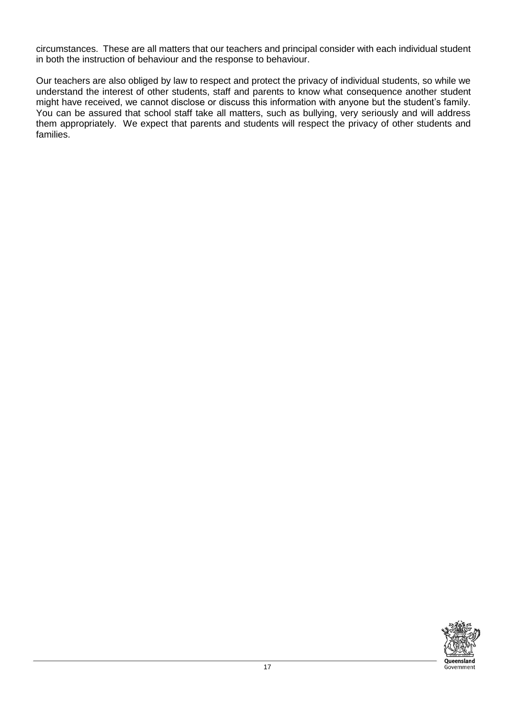circumstances. These are all matters that our teachers and principal consider with each individual student in both the instruction of behaviour and the response to behaviour.

Our teachers are also obliged by law to respect and protect the privacy of individual students, so while we understand the interest of other students, staff and parents to know what consequence another student might have received, we cannot disclose or discuss this information with anyone but the student's family. You can be assured that school staff take all matters, such as bullying, very seriously and will address them appropriately. We expect that parents and students will respect the privacy of other students and families.

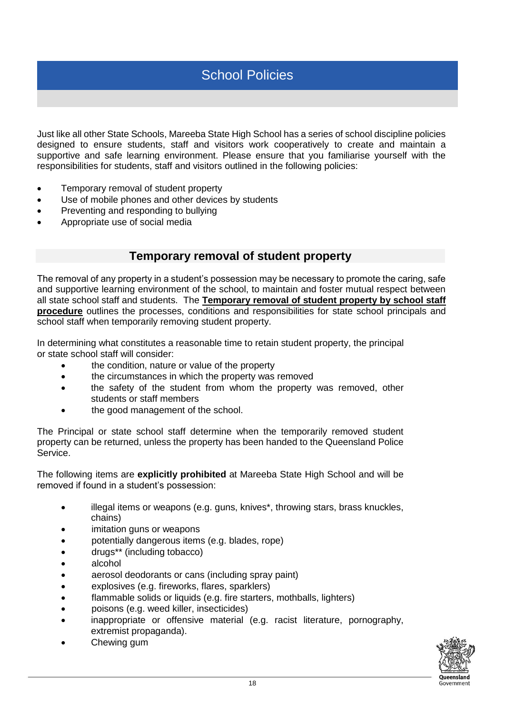Just like all other State Schools, Mareeba State High School has a series of school discipline policies designed to ensure students, staff and visitors work cooperatively to create and maintain a supportive and safe learning environment. Please ensure that you familiarise yourself with the responsibilities for students, staff and visitors outlined in the following policies:

- Temporary removal of student property
- Use of mobile phones and other devices by students
- Preventing and responding to bullying
- Appropriate use of social media

#### **Temporary removal of student property**

The removal of any property in a student's possession may be necessary to promote the caring, safe and supportive learning environment of the school, to maintain and foster mutual respect between all state school staff and students. The **Temporary removal of student property by school staff procedure** outlines the processes, conditions and responsibilities for state school principals and school staff when temporarily removing student property.

In determining what constitutes a reasonable time to retain student property, the principal or state school staff will consider:

- the condition, nature or value of the property
- the circumstances in which the property was removed
- the safety of the student from whom the property was removed, other students or staff members
- the good management of the school.

The Principal or state school staff determine when the temporarily removed student property can be returned, unless the property has been handed to the Queensland Police Service.

The following items are **explicitly prohibited** at Mareeba State High School and will be removed if found in a student's possession:

- illegal items or weapons (e.g. guns, knives\*, throwing stars, brass knuckles, chains)
- imitation guns or weapons
- potentially dangerous items (e.g. blades, rope)
- drugs\*\* (including tobacco)
- alcohol
- aerosol deodorants or cans (including spray paint)
- explosives (e.g. fireworks, flares, sparklers)
- flammable solids or liquids (e.g. fire starters, mothballs, lighters)
- poisons (e.g. weed killer, insecticides)
- inappropriate or offensive material (e.g. racist literature, pornography, extremist propaganda).
- Chewing gum

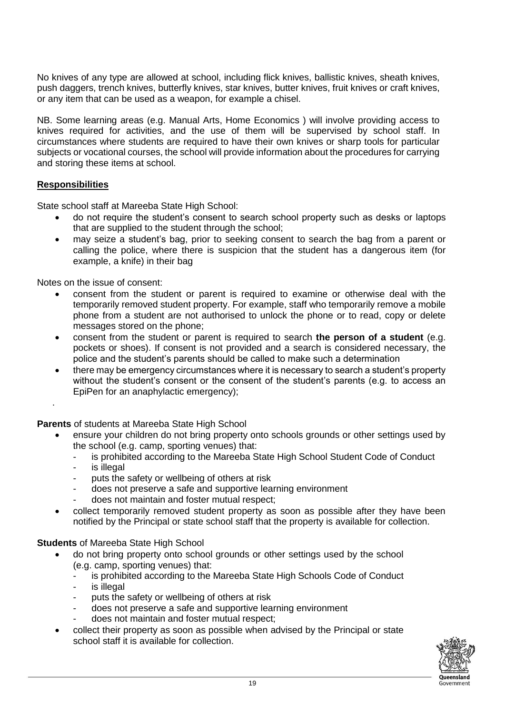No knives of any type are allowed at school, including flick knives, ballistic knives, sheath knives, push daggers, trench knives, butterfly knives, star knives, butter knives, fruit knives or craft knives, or any item that can be used as a weapon, for example a chisel.

NB. Some learning areas (e.g. Manual Arts, Home Economics ) will involve providing access to knives required for activities, and the use of them will be supervised by school staff. In circumstances where students are required to have their own knives or sharp tools for particular subjects or vocational courses, the school will provide information about the procedures for carrying and storing these items at school.

#### **Responsibilities**

State school staff at Mareeba State High School:

- do not require the student's consent to search school property such as desks or laptops that are supplied to the student through the school;
- may seize a student's bag, prior to seeking consent to search the bag from a parent or calling the police, where there is suspicion that the student has a dangerous item (for example, a knife) in their bag

Notes on the issue of consent:

- consent from the student or parent is required to examine or otherwise deal with the temporarily removed student property. For example, staff who temporarily remove a mobile phone from a student are not authorised to unlock the phone or to read, copy or delete messages stored on the phone;
- consent from the student or parent is required to search **the person of a student** (e.g. pockets or shoes). If consent is not provided and a search is considered necessary, the police and the student's parents should be called to make such a determination
- there may be emergency circumstances where it is necessary to search a student's property without the student's consent or the consent of the student's parents (e.g. to access an EpiPen for an anaphylactic emergency);

**Parents** of students at Mareeba State High School

- ensure your children do not bring property onto schools grounds or other settings used by the school (e.g. camp, sporting venues) that:
	- is prohibited according to the Mareeba State High School Student Code of Conduct
	- is illegal

.

- puts the safety or wellbeing of others at risk
- does not preserve a safe and supportive learning environment
- does not maintain and foster mutual respect;
- collect temporarily removed student property as soon as possible after they have been notified by the Principal or state school staff that the property is available for collection.

#### **Students** of Mareeba State High School

- do not bring property onto school grounds or other settings used by the school (e.g. camp, sporting venues) that:
	- is prohibited according to the Mareeba State High Schools Code of Conduct
	- is illegal
	- puts the safety or wellbeing of others at risk
	- does not preserve a safe and supportive learning environment
	- does not maintain and foster mutual respect;
	- collect their property as soon as possible when advised by the Principal or state school staff it is available for collection.

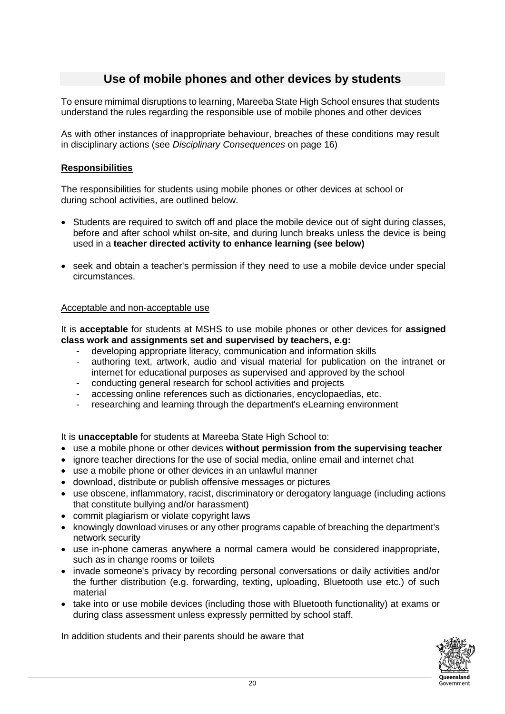## **Use of mobile phones and other devices by students**

To ensure mimimal disruptions to learning, Mareeba State High School ensures that students understand the rules regarding the responsible use of mobile phones and other devices

As with other instances of inappropriate behaviour, breaches of these conditions may result in disciplinary actions (see *Disciplinary Consequences* on page 16)

#### **Responsibilities**

The responsibilities for students using mobile phones or other devices at school or during school activities, are outlined below.

- Students are required to switch off and place the mobile device out of sight during classes, before and after school whilst on-site, and during lunch breaks unless the device is being used in a **teacher directed activity to enhance learning (see below)**
- seek and obtain a teacher's permission if they need to use a mobile device under special circumstances.

#### Acceptable and non-acceptable use

It is **acceptable** for students at MSHS to use mobile phones or other devices for **assigned class work and assignments set and supervised by teachers, e.g:** 

- developing appropriate literacy, communication and information skills
- authoring text, artwork, audio and visual material for publication on the intranet or internet for educational purposes as supervised and approved by the school
- conducting general research for school activities and projects
- accessing online references such as dictionaries, encyclopaedias, etc.
- researching and learning through the department's eLearning environment

It is **unacceptable** for students at Mareeba State High School to:

- use a mobile phone or other devices **without permission from the supervising teacher**
- ignore teacher directions for the use of social media, online email and internet chat
- use a mobile phone or other devices in an unlawful manner
- download, distribute or publish offensive messages or pictures
- use obscene, inflammatory, racist, discriminatory or derogatory language (including actions that constitute bullying and/or harassment)
- commit plagiarism or violate copyright laws
- knowingly download viruses or any other programs capable of breaching the department's network security
- use in-phone cameras anywhere a normal camera would be considered inappropriate, such as in change rooms or toilets
- invade someone's privacy by recording personal conversations or daily activities and/or the further distribution (e.g. forwarding, texting, uploading, Bluetooth use etc.) of such material
- take into or use mobile devices (including those with Bluetooth functionality) at exams or during class assessment unless expressly permitted by school staff.

In addition students and their parents should be aware that

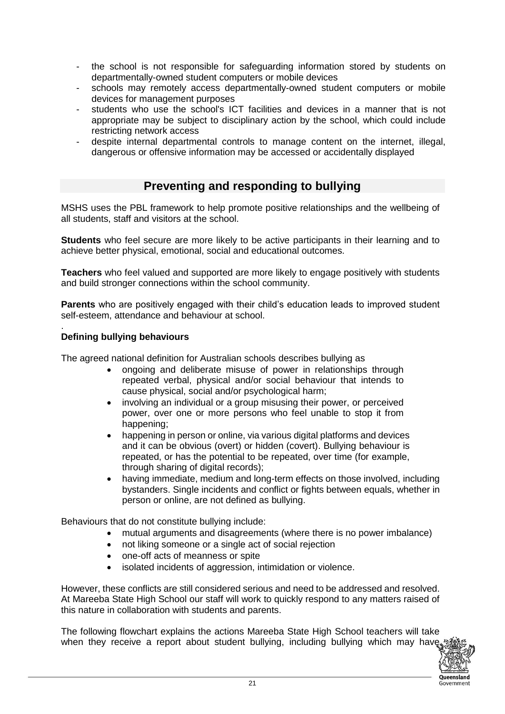- the school is not responsible for safeguarding information stored by students on departmentally-owned student computers or mobile devices
- schools may remotely access departmentally-owned student computers or mobile devices for management purposes
- students who use the school's ICT facilities and devices in a manner that is not appropriate may be subject to disciplinary action by the school, which could include restricting network access
- despite internal departmental controls to manage content on the internet, illegal, dangerous or offensive information may be accessed or accidentally displayed

## **Preventing and responding to bullying**

MSHS uses the PBL framework to help promote positive relationships and the wellbeing of all students, staff and visitors at the school.

**Students** who feel secure are more likely to be active participants in their learning and to achieve better physical, emotional, social and educational outcomes.

**Teachers** who feel valued and supported are more likely to engage positively with students and build stronger connections within the school community.

**Parents** who are positively engaged with their child's education leads to improved student self-esteem, attendance and behaviour at school.

#### . **Defining bullying behaviours**

The agreed national definition for Australian schools describes bullying as

- ongoing and deliberate misuse of power in relationships through repeated verbal, physical and/or social behaviour that intends to cause physical, social and/or psychological harm;
- involving an individual or a group misusing their power, or perceived power, over one or more persons who feel unable to stop it from happening;
- happening in person or online, via various digital platforms and devices and it can be obvious (overt) or hidden (covert). Bullying behaviour is repeated, or has the potential to be repeated, over time (for example, through sharing of digital records);
- having immediate, medium and long-term effects on those involved, including bystanders. Single incidents and conflict or fights between equals, whether in person or online, are not defined as bullying.

Behaviours that do not constitute bullying include:

- mutual arguments and disagreements (where there is no power imbalance)
	- not liking someone or a single act of social rejection
	- one-off acts of meanness or spite
	- isolated incidents of aggression, intimidation or violence.

However, these conflicts are still considered serious and need to be addressed and resolved. At Mareeba State High School our staff will work to quickly respond to any matters raised of this nature in collaboration with students and parents.

The following flowchart explains the actions Mareeba State High School teachers will take when they receive a report about student bullying, including bullying which may have

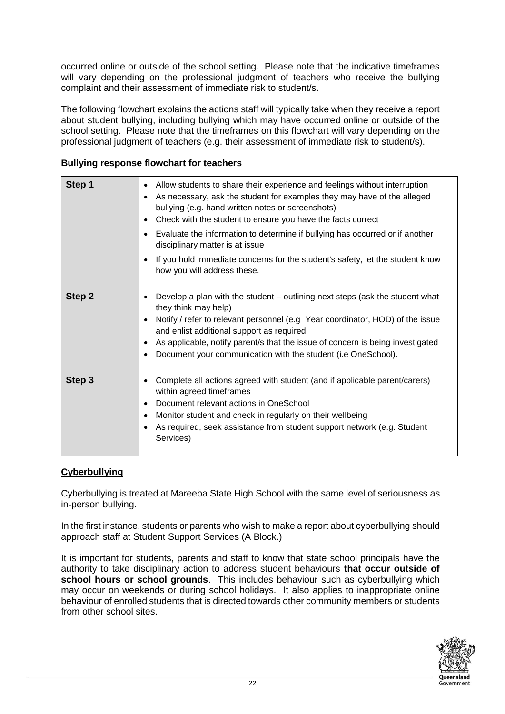occurred online or outside of the school setting. Please note that the indicative timeframes will vary depending on the professional judgment of teachers who receive the bullying complaint and their assessment of immediate risk to student/s.

The following flowchart explains the actions staff will typically take when they receive a report about student bullying, including bullying which may have occurred online or outside of the school setting. Please note that the timeframes on this flowchart will vary depending on the professional judgment of teachers (e.g. their assessment of immediate risk to student/s).

#### **Bullying response flowchart for teachers**

| Step 1 | Allow students to share their experience and feelings without interruption<br>As necessary, ask the student for examples they may have of the alleged<br>bullying (e.g. hand written notes or screenshots)<br>Check with the student to ensure you have the facts correct<br>$\bullet$<br>Evaluate the information to determine if bullying has occurred or if another<br>disciplinary matter is at issue<br>If you hold immediate concerns for the student's safety, let the student know<br>٠<br>how you will address these. |
|--------|--------------------------------------------------------------------------------------------------------------------------------------------------------------------------------------------------------------------------------------------------------------------------------------------------------------------------------------------------------------------------------------------------------------------------------------------------------------------------------------------------------------------------------|
| Step 2 | Develop a plan with the student – outlining next steps (ask the student what<br>they think may help)<br>Notify / refer to relevant personnel (e.g Year coordinator, HOD) of the issue<br>and enlist additional support as required<br>As applicable, notify parent/s that the issue of concern is being investigated<br>Document your communication with the student (i.e OneSchool).                                                                                                                                          |
| Step 3 | Complete all actions agreed with student (and if applicable parent/carers)<br>$\bullet$<br>within agreed timeframes<br>Document relevant actions in OneSchool<br>$\bullet$<br>Monitor student and check in regularly on their wellbeing<br>$\bullet$<br>As required, seek assistance from student support network (e.g. Student<br>Services)                                                                                                                                                                                   |

#### **Cyberbullying**

Cyberbullying is treated at Mareeba State High School with the same level of seriousness as in-person bullying.

In the first instance, students or parents who wish to make a report about cyberbullying should approach staff at Student Support Services (A Block.)

It is important for students, parents and staff to know that state school principals have the authority to take disciplinary action to address student behaviours **that occur outside of school hours or school grounds**. This includes behaviour such as cyberbullying which may occur on weekends or during school holidays. It also applies to inappropriate online behaviour of enrolled students that is directed towards other community members or students from other school sites.

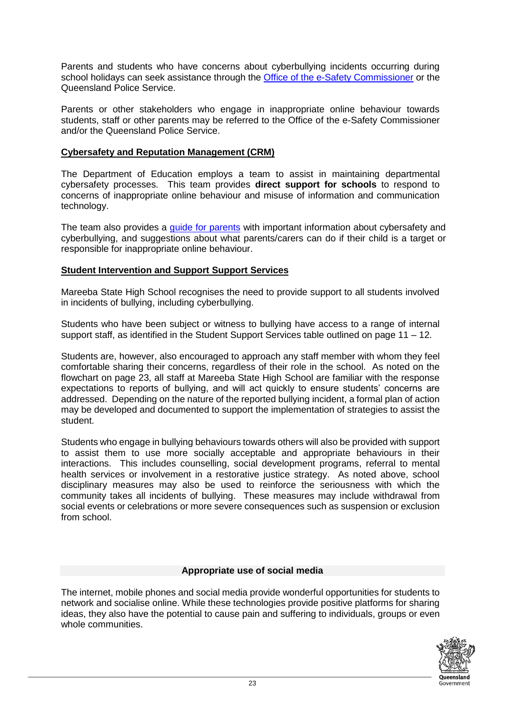Parents and students who have concerns about cyberbullying incidents occurring during school holidays can seek assistance through the [Office of the e-Safety Commissioner](https://www.esafety.gov.au/) or the Queensland Police Service.

Parents or other stakeholders who engage in inappropriate online behaviour towards students, staff or other parents may be referred to the Office of the e-Safety Commissioner and/or the Queensland Police Service.

#### **Cybersafety and Reputation Management (CRM)**

The Department of Education employs a team to assist in maintaining departmental cybersafety processes. This team provides **direct support for schools** to respond to concerns of inappropriate online behaviour and misuse of information and communication technology.

The team also provides a quide for parents with important information about cybersafety and cyberbullying, and suggestions about what parents/carers can do if their child is a target or responsible for inappropriate online behaviour.

#### **Student Intervention and Support Support Services**

Mareeba State High School recognises the need to provide support to all students involved in incidents of bullying, including cyberbullying.

Students who have been subject or witness to bullying have access to a range of internal support staff, as identified in the Student Support Services table outlined on page  $11 - 12$ .

Students are, however, also encouraged to approach any staff member with whom they feel comfortable sharing their concerns, regardless of their role in the school. As noted on the flowchart on page 23, all staff at Mareeba State High School are familiar with the response expectations to reports of bullying, and will act quickly to ensure students' concerns are addressed. Depending on the nature of the reported bullying incident, a formal plan of action may be developed and documented to support the implementation of strategies to assist the student.

Students who engage in bullying behaviours towards others will also be provided with support to assist them to use more socially acceptable and appropriate behaviours in their interactions. This includes counselling, social development programs, referral to mental health services or involvement in a restorative justice strategy. As noted above, school disciplinary measures may also be used to reinforce the seriousness with which the community takes all incidents of bullying. These measures may include withdrawal from social events or celebrations or more severe consequences such as suspension or exclusion from school.

#### **Appropriate use of social media**

The internet, mobile phones and social media provide wonderful opportunities for students to network and socialise online. While these technologies provide positive platforms for sharing ideas, they also have the potential to cause pain and suffering to individuals, groups or even whole communities.

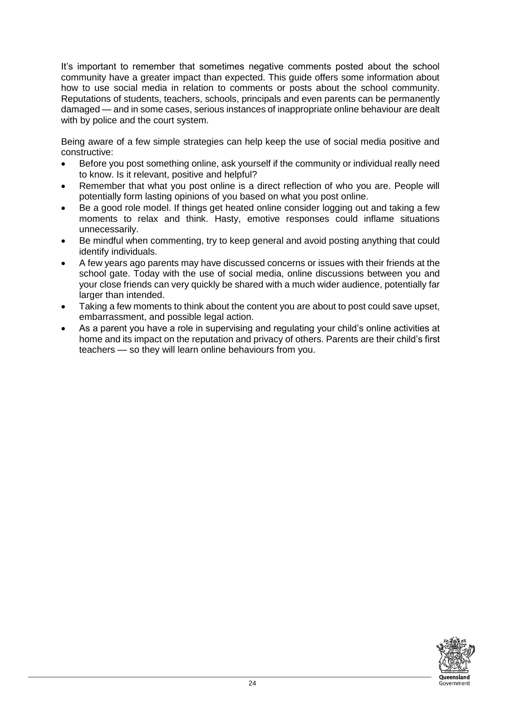It's important to remember that sometimes negative comments posted about the school community have a greater impact than expected. This guide offers some information about how to use social media in relation to comments or posts about the school community. Reputations of students, teachers, schools, principals and even parents can be permanently damaged — and in some cases, serious instances of inappropriate online behaviour are dealt with by police and the court system.

Being aware of a few simple strategies can help keep the use of social media positive and constructive:

- Before you post something online, ask yourself if the community or individual really need to know. Is it relevant, positive and helpful?
- Remember that what you post online is a direct reflection of who you are. People will potentially form lasting opinions of you based on what you post online.
- Be a good role model. If things get heated online consider logging out and taking a few moments to relax and think. Hasty, emotive responses could inflame situations unnecessarily.
- Be mindful when commenting, try to keep general and avoid posting anything that could identify individuals.
- A few years ago parents may have discussed concerns or issues with their friends at the school gate. Today with the use of social media, online discussions between you and your close friends can very quickly be shared with a much wider audience, potentially far larger than intended.
- Taking a few moments to think about the content you are about to post could save upset, embarrassment, and possible legal action.
- As a parent you have a role in supervising and regulating your child's online activities at home and its impact on the reputation and privacy of others. Parents are their child's first teachers — so they will learn online behaviours from you.

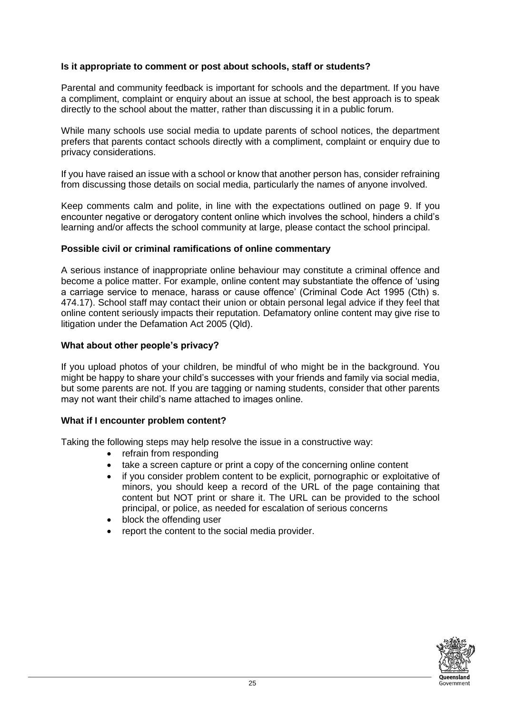#### **Is it appropriate to comment or post about schools, staff or students?**

Parental and community feedback is important for schools and the department. If you have a compliment, complaint or enquiry about an issue at school, the best approach is to speak directly to the school about the matter, rather than discussing it in a public forum.

While many schools use social media to update parents of school notices, the department prefers that parents contact schools directly with a compliment, complaint or enquiry due to privacy considerations.

If you have raised an issue with a school or know that another person has, consider refraining from discussing those details on social media, particularly the names of anyone involved.

Keep comments calm and polite, in line with the expectations outlined on page 9. If you encounter negative or derogatory content online which involves the school, hinders a child's learning and/or affects the school community at large, please contact the school principal.

#### **Possible civil or criminal ramifications of online commentary**

A serious instance of inappropriate online behaviour may constitute a criminal offence and become a police matter. For example, online content may substantiate the offence of 'using a carriage service to menace, harass or cause offence' (Criminal Code Act 1995 (Cth) s. 474.17). School staff may contact their union or obtain personal legal advice if they feel that online content seriously impacts their reputation. Defamatory online content may give rise to litigation under the Defamation Act 2005 (Qld).

#### **What about other people's privacy?**

If you upload photos of your children, be mindful of who might be in the background. You might be happy to share your child's successes with your friends and family via social media, but some parents are not. If you are tagging or naming students, consider that other parents may not want their child's name attached to images online.

#### **What if I encounter problem content?**

Taking the following steps may help resolve the issue in a constructive way:

- refrain from responding
- take a screen capture or print a copy of the concerning online content
- if you consider problem content to be explicit, pornographic or exploitative of minors, you should keep a record of the URL of the page containing that content but NOT print or share it. The URL can be provided to the school principal, or police, as needed for escalation of serious concerns
- block the offending user
- report the content to the social media provider.

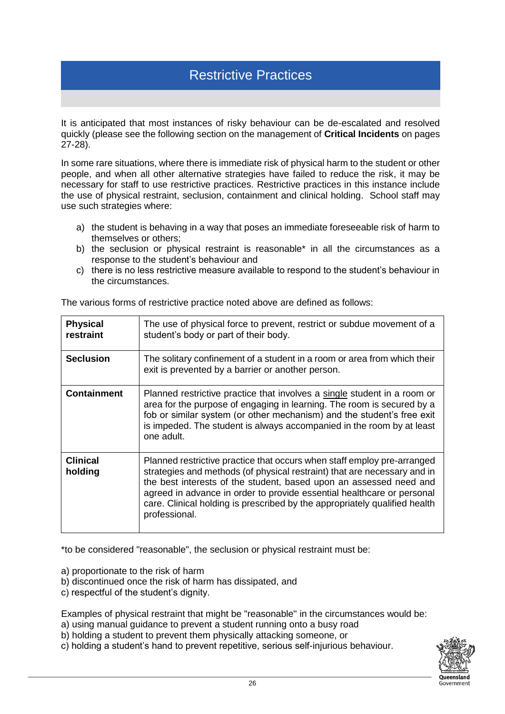## Restrictive Practices

It is anticipated that most instances of risky behaviour can be de-escalated and resolved quickly (please see the following section on the management of **Critical Incidents** on pages 27-28).

In some rare situations, where there is immediate risk of physical harm to the student or other people, and when all other alternative strategies have failed to reduce the risk, it may be necessary for staff to use restrictive practices. Restrictive practices in this instance include the use of physical restraint, seclusion, containment and clinical holding. School staff may use such strategies where:

- a) the student is behaving in a way that poses an immediate foreseeable risk of harm to themselves or others;
- b) the seclusion or physical restraint is reasonable\* in all the circumstances as a response to the student's behaviour and
- c) there is no less restrictive measure available to respond to the student's behaviour in the circumstances.

| <b>Physical</b><br>restraint | The use of physical force to prevent, restrict or subdue movement of a<br>student's body or part of their body.                                                                                                                                                                                                                                                                                    |
|------------------------------|----------------------------------------------------------------------------------------------------------------------------------------------------------------------------------------------------------------------------------------------------------------------------------------------------------------------------------------------------------------------------------------------------|
| <b>Seclusion</b>             | The solitary confinement of a student in a room or area from which their<br>exit is prevented by a barrier or another person.                                                                                                                                                                                                                                                                      |
| <b>Containment</b>           | Planned restrictive practice that involves a single student in a room or<br>area for the purpose of engaging in learning. The room is secured by a<br>fob or similar system (or other mechanism) and the student's free exit<br>is impeded. The student is always accompanied in the room by at least<br>one adult.                                                                                |
| <b>Clinical</b><br>holding   | Planned restrictive practice that occurs when staff employ pre-arranged<br>strategies and methods (of physical restraint) that are necessary and in<br>the best interests of the student, based upon an assessed need and<br>agreed in advance in order to provide essential healthcare or personal<br>care. Clinical holding is prescribed by the appropriately qualified health<br>professional. |

The various forms of restrictive practice noted above are defined as follows:

\*to be considered "reasonable", the seclusion or physical restraint must be:

a) proportionate to the risk of harm

- b) discontinued once the risk of harm has dissipated, and
- c) respectful of the student's dignity.

Examples of physical restraint that might be "reasonable" in the circumstances would be:

- a) using manual guidance to prevent a student running onto a busy road
- b) holding a student to prevent them physically attacking someone, or
- c) holding a student's hand to prevent repetitive, serious self-injurious behaviour.

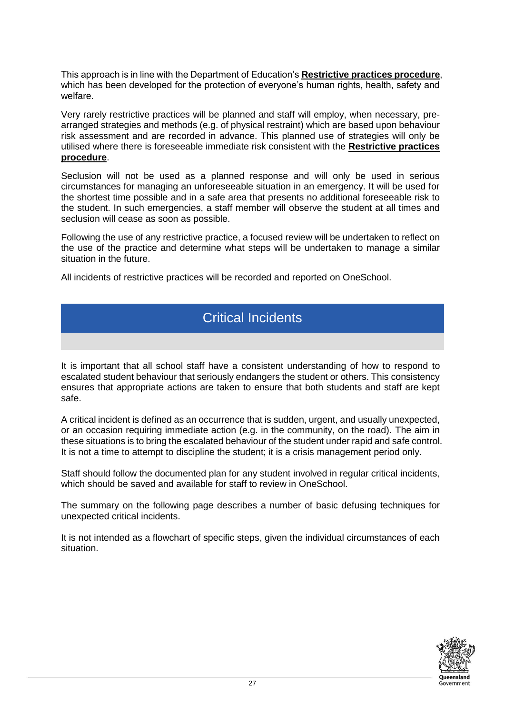This approach is in line with the Department of Education's **Restrictive practices procedure**, which has been developed for the protection of everyone's human rights, health, safety and welfare.

Very rarely restrictive practices will be planned and staff will employ, when necessary, prearranged strategies and methods (e.g. of physical restraint) which are based upon behaviour risk assessment and are recorded in advance. This planned use of strategies will only be utilised where there is foreseeable immediate risk consistent with the **Restrictive practices procedure**.

Seclusion will not be used as a planned response and will only be used in serious circumstances for managing an unforeseeable situation in an emergency. It will be used for the shortest time possible and in a safe area that presents no additional foreseeable risk to the student. In such emergencies, a staff member will observe the student at all times and seclusion will cease as soon as possible.

Following the use of any restrictive practice, a focused review will be undertaken to reflect on the use of the practice and determine what steps will be undertaken to manage a similar situation in the future.

All incidents of restrictive practices will be recorded and reported on OneSchool.

## Critical Incidents

It is important that all school staff have a consistent understanding of how to respond to escalated student behaviour that seriously endangers the student or others. This consistency ensures that appropriate actions are taken to ensure that both students and staff are kept safe.

A critical incident is defined as an occurrence that is sudden, urgent, and usually unexpected, or an occasion requiring immediate action (e.g. in the community, on the road). The aim in these situations is to bring the escalated behaviour of the student under rapid and safe control. It is not a time to attempt to discipline the student; it is a crisis management period only.

Staff should follow the documented plan for any student involved in regular critical incidents, which should be saved and available for staff to review in OneSchool.

The summary on the following page describes a number of basic defusing techniques for unexpected critical incidents.

It is not intended as a flowchart of specific steps, given the individual circumstances of each situation.

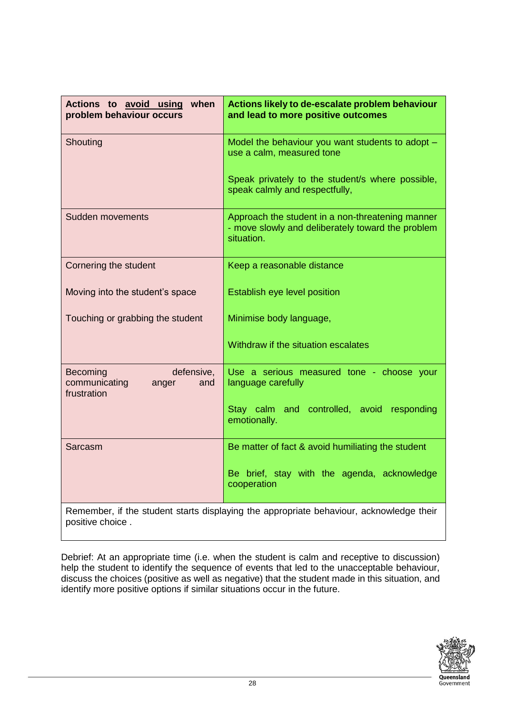| Actions to avoid using when<br>problem behaviour occurs                                 | Actions likely to de-escalate problem behaviour<br>and lead to more positive outcomes                               |
|-----------------------------------------------------------------------------------------|---------------------------------------------------------------------------------------------------------------------|
| Shouting                                                                                | Model the behaviour you want students to adopt -<br>use a calm, measured tone                                       |
|                                                                                         | Speak privately to the student/s where possible,<br>speak calmly and respectfully,                                  |
| <b>Sudden movements</b>                                                                 | Approach the student in a non-threatening manner<br>- move slowly and deliberately toward the problem<br>situation. |
| Cornering the student                                                                   | Keep a reasonable distance                                                                                          |
| Moving into the student's space                                                         | Establish eye level position                                                                                        |
| Touching or grabbing the student                                                        | Minimise body language,                                                                                             |
|                                                                                         | Withdraw if the situation escalates                                                                                 |
| <b>Becoming</b><br>defensive,<br>communicating<br>and<br>anger<br>frustration           | Use a serious measured tone - choose your<br>language carefully                                                     |
|                                                                                         | Stay calm and controlled, avoid responding<br>emotionally.                                                          |
| Sarcasm                                                                                 | Be matter of fact & avoid humiliating the student                                                                   |
|                                                                                         | Be brief, stay with the agenda, acknowledge<br>cooperation                                                          |
| Remember, if the student starts displaying the appropriate behaviour, acknowledge their |                                                                                                                     |

positive choice .

Debrief: At an appropriate time (i.e. when the student is calm and receptive to discussion) help the student to identify the sequence of events that led to the unacceptable behaviour, discuss the choices (positive as well as negative) that the student made in this situation, and identify more positive options if similar situations occur in the future.